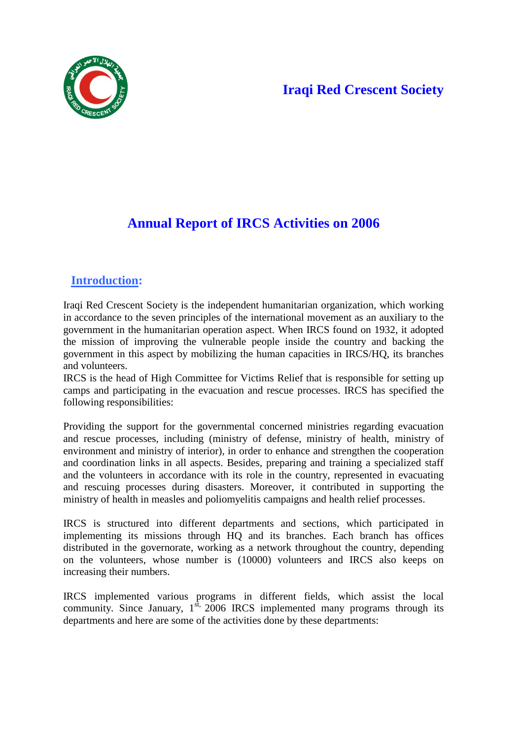# **Iraqi Red Crescent Society**



# **Annual Report of IRCS Activities on 2006**

## **Introduction:**

Iraqi Red Crescent Society is the independent humanitarian organization, which working in accordance to the seven principles of the international movement as an auxiliary to the government in the humanitarian operation aspect. When IRCS found on 1932, it adopted the mission of improving the vulnerable people inside the country and backing the government in this aspect by mobilizing the human capacities in IRCS/HQ, its branches and volunteers.

IRCS is the head of High Committee for Victims Relief that is responsible for setting up camps and participating in the evacuation and rescue processes. IRCS has specified the following responsibilities:

Providing the support for the governmental concerned ministries regarding evacuation and rescue processes, including (ministry of defense, ministry of health, ministry of environment and ministry of interior), in order to enhance and strengthen the cooperation and coordination links in all aspects. Besides, preparing and training a specialized staff and the volunteers in accordance with its role in the country, represented in evacuating and rescuing processes during disasters. Moreover, it contributed in supporting the ministry of health in measles and poliomyelitis campaigns and health relief processes.

IRCS is structured into different departments and sections, which participated in implementing its missions through HQ and its branches. Each branch has offices distributed in the governorate, working as a network throughout the country, depending on the volunteers, whose number is (10000) volunteers and IRCS also keeps on increasing their numbers.

IRCS implemented various programs in different fields, which assist the local community. Since January,  $1^{st}$ , 2006 IRCS implemented many programs through its departments and here are some of the activities done by these departments: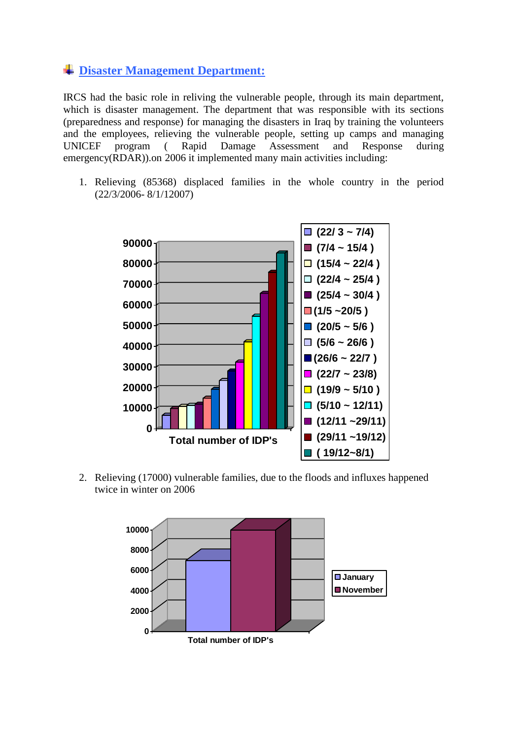### **Disaster Management Department:**

IRCS had the basic role in reliving the vulnerable people, through its main department, which is disaster management. The department that was responsible with its sections (preparedness and response) for managing the disasters in Iraq by training the volunteers and the employees, relieving the vulnerable people, setting up camps and managing UNICEF program ( Rapid Damage Assessment and Response during emergency(RDAR)).on 2006 it implemented many main activities including:

1. Relieving (85368) displaced families in the whole country in the period (22/3/2006- 8/1/12007)



2. Relieving (17000) vulnerable families, due to the floods and influxes happened twice in winter on 2006

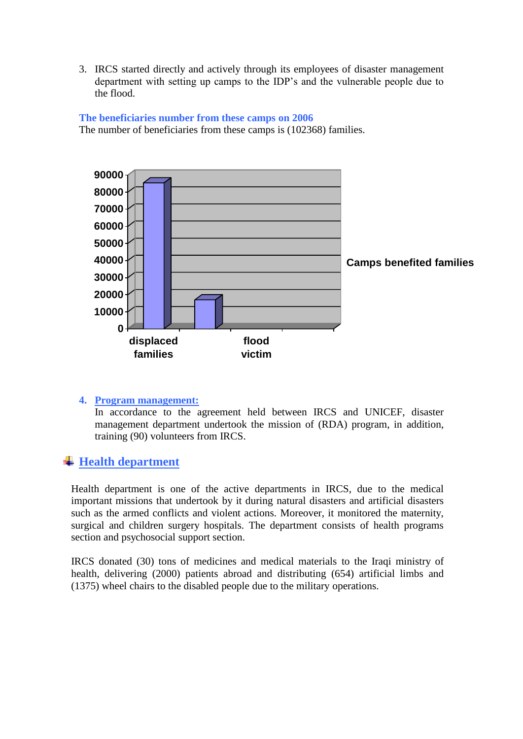3. IRCS started directly and actively through its employees of disaster management department with setting up camps to the IDP's and the vulnerable people due to the flood.



#### **The beneficiaries number from these camps on 2006**

The number of beneficiaries from these camps is (102368) families.

#### **4. Program management:**

In accordance to the agreement held between IRCS and UNICEF, disaster management department undertook the mission of (RDA) program, in addition, training (90) volunteers from IRCS.

### **Health department**

Health department is one of the active departments in IRCS, due to the medical important missions that undertook by it during natural disasters and artificial disasters such as the armed conflicts and violent actions. Moreover, it monitored the maternity, surgical and children surgery hospitals. The department consists of health programs section and psychosocial support section.

IRCS donated (30) tons of medicines and medical materials to the Iraqi ministry of health, delivering (2000) patients abroad and distributing (654) artificial limbs and (1375) wheel chairs to the disabled people due to the military operations.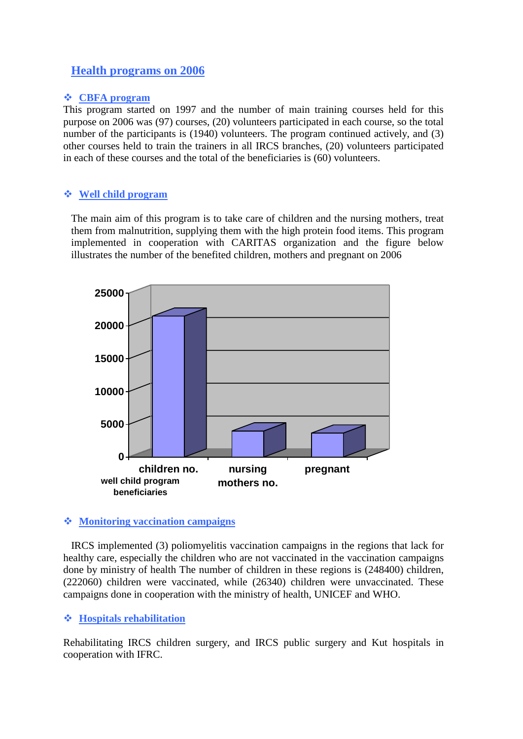### **Health programs on 2006**

#### **CBFA program**

This program started on 1997 and the number of main training courses held for this purpose on 2006 was (97) courses, (20) volunteers participated in each course, so the total number of the participants is (1940) volunteers. The program continued actively, and (3) other courses held to train the trainers in all IRCS branches, (20) volunteers participated in each of these courses and the total of the beneficiaries is (60) volunteers.

#### **Well child program**

The main aim of this program is to take care of children and the nursing mothers, treat them from malnutrition, supplying them with the high protein food items. This program implemented in cooperation with CARITAS organization and the figure below illustrates the number of the benefited children, mothers and pregnant on 2006



#### **Monitoring vaccination campaigns**

IRCS implemented (3) poliomyelitis vaccination campaigns in the regions that lack for healthy care, especially the children who are not vaccinated in the vaccination campaigns done by ministry of health The number of children in these regions is (248400) children, (222060) children were vaccinated, while (26340) children were unvaccinated. These campaigns done in cooperation with the ministry of health, UNICEF and WHO.

#### **Hospitals rehabilitation**

Rehabilitating IRCS children surgery, and IRCS public surgery and Kut hospitals in cooperation with IFRC.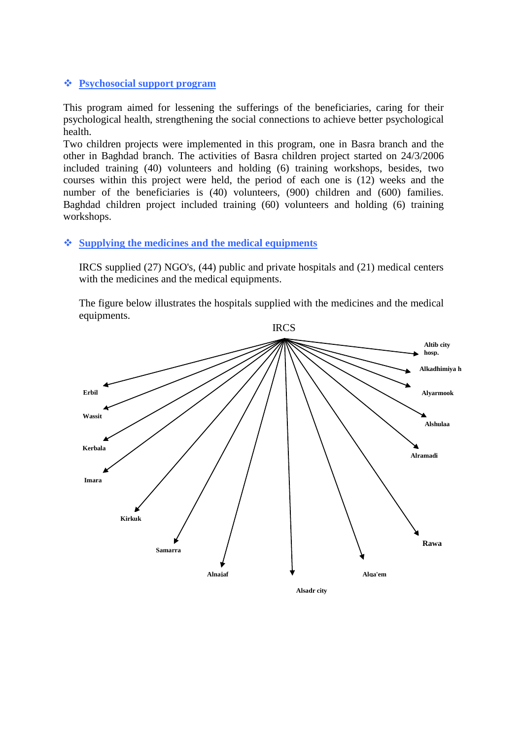#### **Psychosocial support program**

This program aimed for lessening the sufferings of the beneficiaries, caring for their psychological health, strengthening the social connections to achieve better psychological health.

Two children projects were implemented in this program, one in Basra branch and the other in Baghdad branch. The activities of Basra children project started on 24/3/2006 included training (40) volunteers and holding (6) training workshops, besides, two courses within this project were held, the period of each one is (12) weeks and the number of the beneficiaries is (40) volunteers, (900) children and (600) families. Baghdad children project included training (60) volunteers and holding (6) training workshops.

#### **Supplying the medicines and the medical equipments**

IRCS supplied (27) NGO's, (44) public and private hospitals and (21) medical centers with the medicines and the medical equipments.

The figure below illustrates the hospitals supplied with the medicines and the medical equipments.



**Alsadr city**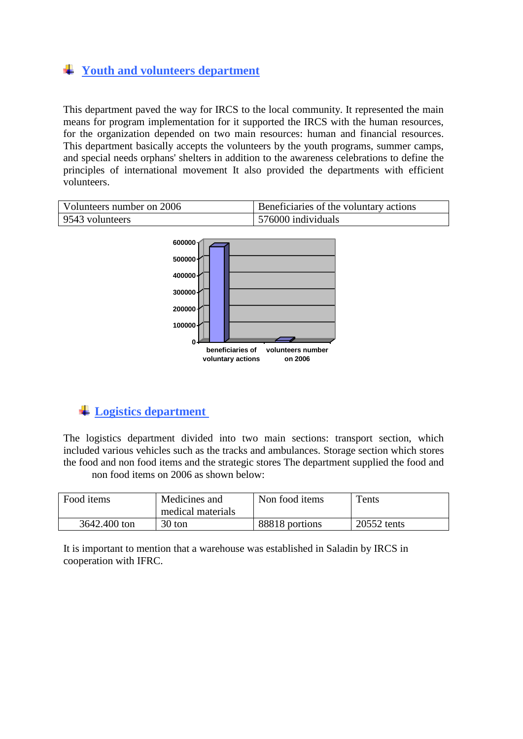# **Youth and volunteers department**

This department paved the way for IRCS to the local community. It represented the main means for program implementation for it supported the IRCS with the human resources, for the organization depended on two main resources: human and financial resources. This department basically accepts the volunteers by the youth programs, summer camps, and special needs orphans' shelters in addition to the awareness celebrations to define the principles of international movement It also provided the departments with efficient volunteers.

| Volunteers number on 2006 | Beneficiaries of the voluntary actions |
|---------------------------|----------------------------------------|
| 9543 volunteers           | 576000 individuals                     |



# **Logistics department**

The logistics department divided into two main sections: transport section, which included various vehicles such as the tracks and ambulances. Storage section which stores the food and non food items and the strategic stores The department supplied the food and non food items on 2006 as shown below:

| Food items   | Medicines and<br>medical materials | Non food items | Tents       |
|--------------|------------------------------------|----------------|-------------|
| 3642.400 ton | 30 ton                             | 88818 portions | 20552 tents |

It is important to mention that a warehouse was established in Saladin by IRCS in cooperation with IFRC.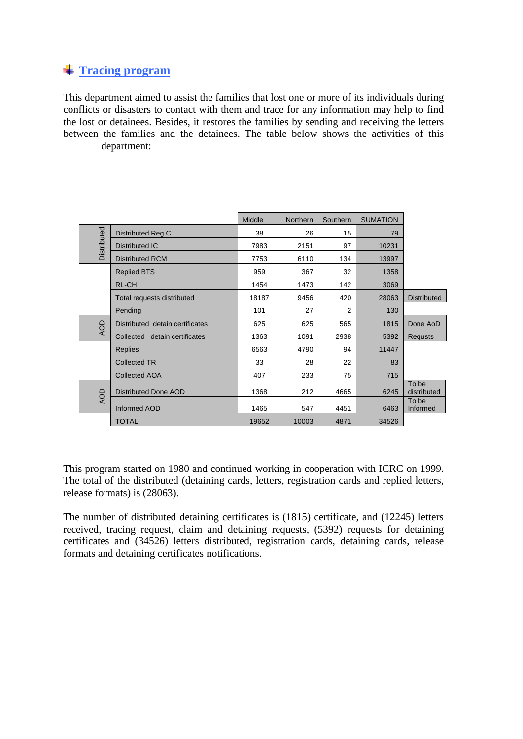### **Tracing program**

This department aimed to assist the families that lost one or more of its individuals during conflicts or disasters to contact with them and trace for any information may help to find the lost or detainees. Besides, it restores the families by sending and receiving the letters between the families and the detainees. The table below shows the activities of this department:

|             |                                 | Middle | <b>Northern</b> | Southern | <b>SUMATION</b> |                      |
|-------------|---------------------------------|--------|-----------------|----------|-----------------|----------------------|
| Distributed | Distributed Reg C.              | 38     | 26              | 15       | 79              |                      |
|             | <b>Distributed IC</b>           | 7983   | 2151            | 97       | 10231           |                      |
|             | <b>Distributed RCM</b>          | 7753   | 6110            | 134      | 13997           |                      |
|             | <b>Replied BTS</b>              | 959    | 367             | 32       | 1358            |                      |
|             | <b>RL-CH</b>                    | 1454   | 1473            | 142      | 3069            |                      |
|             | Total requests distributed      | 18187  | 9456            | 420      | 28063           | <b>Distributed</b>   |
|             | Pending                         | 101    | 27              | 2        | 130             |                      |
| QOV         | Distributed detain certificates | 625    | 625             | 565      | 1815            | Done AoD             |
|             | Collected detain certificates   | 1363   | 1091            | 2938     | 5392            | <b>Requsts</b>       |
|             | <b>Replies</b>                  | 6563   | 4790            | 94       | 11447           |                      |
|             | <b>Collected TR</b>             | 33     | 28              | 22       | 83              |                      |
|             | <b>Collected AOA</b>            | 407    | 233             | 75       | 715             |                      |
| <b>AOD</b>  | <b>Distributed Done AOD</b>     | 1368   | 212             | 4665     | 6245            | To be<br>distributed |
|             | Informed AOD                    | 1465   | 547             | 4451     | 6463            | To be<br>Informed    |
|             | <b>TOTAL</b>                    | 19652  | 10003           | 4871     | 34526           |                      |

This program started on 1980 and continued working in cooperation with ICRC on 1999. The total of the distributed (detaining cards, letters, registration cards and replied letters, release formats) is (28063).

The number of distributed detaining certificates is (1815) certificate, and (12245) letters received, tracing request, claim and detaining requests, (5392) requests for detaining certificates and (34526) letters distributed, registration cards, detaining cards, release formats and detaining certificates notifications.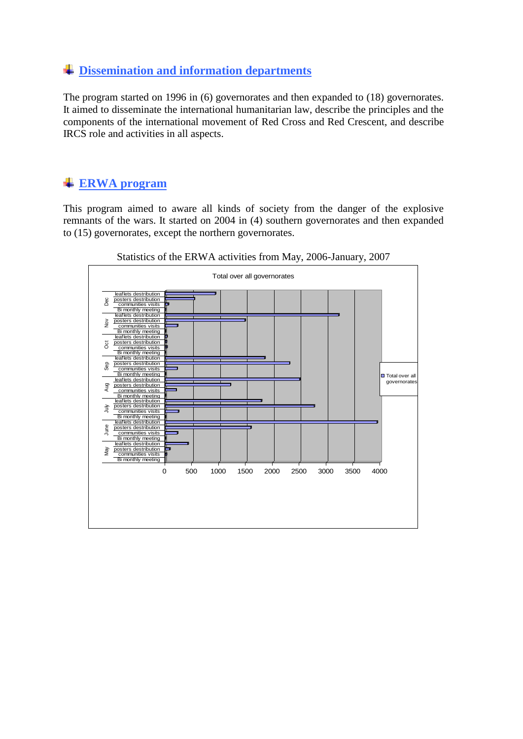## **Dissemination and information departments**

The program started on 1996 in (6) governorates and then expanded to (18) governorates. It aimed to disseminate the international humanitarian law, describe the principles and the components of the international movement of Red Cross and Red Crescent, and describe IRCS role and activities in all aspects.

## **ERWA program**

This program aimed to aware all kinds of society from the danger of the explosive remnants of the wars. It started on 2004 in (4) southern governorates and then expanded to (15) governorates, except the northern governorates.



Statistics of the ERWA activities from May, 2006-January, 2007